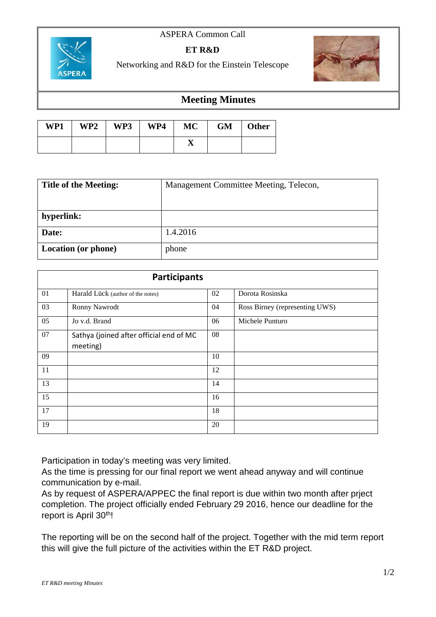## ASPERA Common Call



## **ET R&D**

Networking and R&D for the Einstein Telescope



## **Meeting Minutes**

| WP1 | WP2 | WP3 | WP4 | MC         | <b>GM</b> | Other |
|-----|-----|-----|-----|------------|-----------|-------|
|     |     |     |     | <u>. .</u> |           |       |

| <b>Title of the Meeting:</b> | Management Committee Meeting, Telecon, |  |  |
|------------------------------|----------------------------------------|--|--|
|                              |                                        |  |  |
| hyperlink:                   |                                        |  |  |
| Date:                        | 1.4.2016                               |  |  |
| <b>Location (or phone)</b>   | phone                                  |  |  |

| <b>Participants</b> |                                                     |    |                                |  |  |
|---------------------|-----------------------------------------------------|----|--------------------------------|--|--|
| 01                  | Harald Lück (author of the notes)                   | 02 | Dorota Rosinska                |  |  |
| 03                  | Ronny Nawrodt                                       | 04 | Ross Birney (representing UWS) |  |  |
| 05                  | Jo v.d. Brand                                       | 06 | Michele Punturo                |  |  |
| 07                  | Sathya (joined after official end of MC<br>meeting) | 08 |                                |  |  |
| 09                  |                                                     | 10 |                                |  |  |
| 11                  |                                                     | 12 |                                |  |  |
| 13                  |                                                     | 14 |                                |  |  |
| 15                  |                                                     | 16 |                                |  |  |
| 17                  |                                                     | 18 |                                |  |  |
| 19                  |                                                     | 20 |                                |  |  |

Participation in today's meeting was very limited.

As the time is pressing for our final report we went ahead anyway and will continue communication by e-mail.

As by request of ASPERA/APPEC the final report is due within two month after prject completion. The project officially ended February 29 2016, hence our deadline for the report is April 30<sup>th</sup>!

The reporting will be on the second half of the project. Together with the mid term report this will give the full picture of the activities within the ET R&D project.